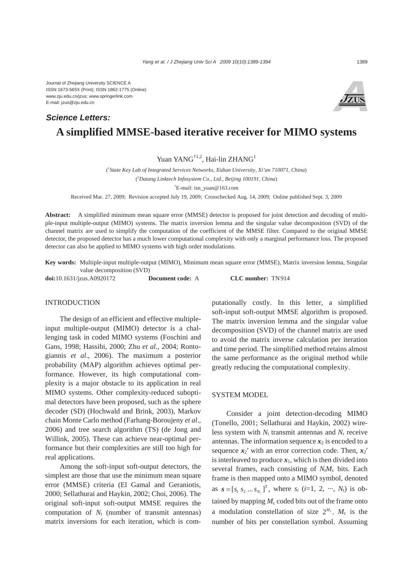# **A simplified MMSE-based iterative receiver for MIMO systems** *Science Letters:*

## Yuan YANG<sup>†1,2</sup>, Hai-lin ZHANG<sup>1</sup>

( *1 State Key Lab of Integrated Services Networks, Xidian University, Xi'an 710071, China*) ( *2 Datang Linktech Infosystem Co., Ltd., Beijing 100191, China*) † E-mail: isn\_yuan@163.com

Received Mar. 27, 2009; Revision accepted July 19, 2009; Crosschecked Aug. 14, 2009; Online published Sept. 3, 2009

**Abstract:** A simplified minimum mean square error (MMSE) detector is proposed for joint detection and decoding of multiple-input multiple-output (MIMO) systems. The matrix inversion lemma and the singular value decomposition (SVD) of the channel matrix are used to simplify the computation of the coefficient of the MMSE filter. Compared to the original MMSE detector, the proposed detector has a much lower computational complexity with only a marginal performance loss. The proposed detector can also be applied to MIMO systems with high order modulations.

**Key words:** Multiple-input multiple-output (MIMO), Minimum mean square error (MMSE), Matrix inversion lemma, Singular value decomposition (SVD)

**doi:**10.1631/jzus.A0920172 **Document code:** A **CLC number:** TN914

#### INTRODUCTION

The design of an efficient and effective multipleinput multiple-output (MIMO) detector is a challenging task in coded MIMO systems (Foschini and Gans, 1998; Hassibi, 2000; Zhu *et al*., 2004; Rontogiannis *et al*., 2006). The maximum a posterior probability (MAP) algorithm achieves optimal performance. However, its high computational complexity is a major obstacle to its application in real MIMO systems. Other complexity-reduced suboptimal detectors have been proposed, such as the sphere decoder (SD) (Hochwald and Brink, 2003), Markov chain Monte Carlo method (Farhang-Boroujeny *et al*., 2006) and tree search algorithm (TS) (de Jong and Willink, 2005). These can achieve near-optimal performance but their complexities are still too high for real applications.

Among the soft-input soft-output detectors, the simplest are those that use the minimum mean square error (MMSE) criteria (El Gamal and Geraniotis, 2000; Sellathurai and Haykin, 2002; Choi, 2006). The original soft-input soft-output MMSE requires the computation of  $N_t$  (number of transmit antennas) matrix inversions for each iteration, which is computationally costly. In this letter, a simplified soft-input soft-output MMSE algorithm is proposed. The matrix inversion lemma and the singular value decomposition (SVD) of the channel matrix are used to avoid the matrix inverse calculation per iteration and time period. The simplified method retains almost the same performance as the original method while greatly reducing the computational complexity.

#### SYSTEM MODEL

Consider a joint detection-decoding MIMO (Tonello, 2001; Sellathurai and Haykin, 2002) wireless system with  $N_t$  transmit antennas and  $N_r$  receive antennas. The information sequence  $x_2$  is encoded to a sequence  $x_2$ ' with an error correction code. Then,  $x_2$ ' is interleaved to produce  $x_1$ , which is then divided into several frames, each consisting of *N<sub>t</sub>M<sub>c</sub>* bits. Each frame is then mapped onto a MIMO symbol, denoted as  $\mathbf{s} = [s_1 \ s_2 \dots s_{N_t}]^T$ , where  $s_i$  (*i*=1, 2, ···,  $N_t$ ) is obtained by mapping  $M_c$  coded bits out of the frame onto a modulation constellation of size  $2^{M_c}$ . *M<sub>c</sub>* is the number of bits per constellation symbol. Assuming

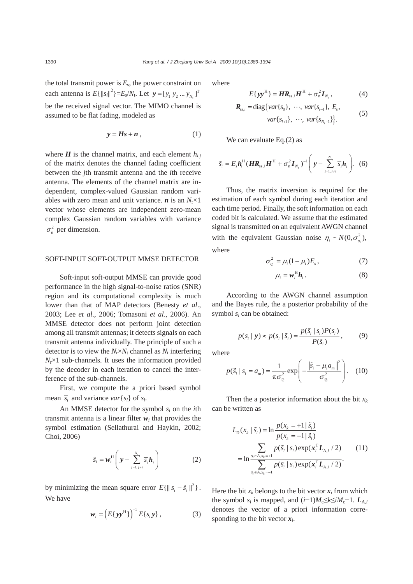the total transmit power is  $E_s$ , the power constraint on each antenna is  $E\{||s_i||^2\} = E_s/N_t$ . Let  $\mathbf{y} = [y_1 \ y_2 \dots y_{N_t}]^T$ be the received signal vector. The MIMO channel is assumed to be flat fading, modeled as

$$
y = Hs + n \t\t(1)
$$

where  $H$  is the channel matrix, and each element  $h_{i,j}$ of the matrix denotes the channel fading coefficient between the *j*th transmit antenna and the *i*th receive antenna. The elements of the channel matrix are independent, complex-valued Gaussian random variables with zero mean and unit variance.  $\boldsymbol{n}$  is an  $N_r \times 1$ vector whose elements are independent zero-mean complex Gaussian random variables with variance  $\sigma_{\rm n}^2$  per dimension.

#### SOFT-INPUT SOFT-OUTPUT MMSE DETECTOR

Soft-input soft-output MMSE can provide good performance in the high signal-to-noise ratios (SNR) region and its computational complexity is much lower than that of MAP detectors (Benesty *et al*., 2003; Lee *et al*., 2006; Tomasoni *et al*., 2006). An MMSE detector does not perform joint detection among all transmit antennas; it detects signals on each transmit antenna individually. The principle of such a detector is to view the  $N_r \times N_t$  channel as  $N_t$  interfering  $N_r \times 1$  sub-channels. It uses the information provided by the decoder in each iteration to cancel the interference of the sub-channels.

First, we compute the a priori based symbol mean  $\overline{s_i}$  and variance *var*{ $s_i$ } of  $s_i$ .

An MMSE detector for the symbol *si* on the *i*th transmit antenna is a linear filter  $w_i$  that provides the symbol estimation (Sellathurai and Haykin, 2002; Choi, 2006)

$$
\widetilde{s}_i = \boldsymbol{w}_i^{\mathrm{H}} \left( \boldsymbol{y} - \sum_{j=1, j \neq i}^{N_i} \overline{s}_j \boldsymbol{h}_j \right) \tag{2}
$$

by minimizing the mean square error  $E\{\|s_i - \tilde{s}_i\|^2\}$ . We have

$$
\boldsymbol{w}_i = \left( E\{ \boldsymbol{y} \boldsymbol{y}^{\mathrm{H}} \} \right)^{-1} E\{ \boldsymbol{s}_i \boldsymbol{y} \}, \tag{3}
$$

where

$$
E\{\mathbf{y}\mathbf{y}^{\mathrm{H}}\} = \boldsymbol{H}\boldsymbol{R}_{\mathrm{ss},i}\boldsymbol{H}^{\mathrm{H}} + \sigma_{\mathrm{n}}^{2}\boldsymbol{I}_{N_{\mathrm{r}}},
$$
(4)

$$
\mathbf{R}_{ss,i} = \text{diag}\{var\{s_0\}, \cdots, var\{s_{i-1}\}, E_s, var\{s_{i+1}\}, \cdots, var\{s_{N_t-1}\}\}.
$$
 (5)

We can evaluate Eq.(2) as

$$
\widetilde{s}_i = E_s \boldsymbol{h}_i^{\mathrm{H}} (\boldsymbol{H} \boldsymbol{R}_{ss,i} \boldsymbol{H}^{\mathrm{H}} + \sigma_{\mathrm{n}}^2 \boldsymbol{I}_{N_{\mathrm{r}}})^{-1} \Bigg( \boldsymbol{y} - \sum_{j=1, j \neq i}^{N_{\mathrm{t}}} \overline{s}_j \boldsymbol{h}_j \Bigg). \tag{6}
$$

Thus, the matrix inversion is required for the estimation of each symbol during each iteration and each time period. Finally, the soft information on each coded bit is calculated. We assume that the estimated signal is transmitted on an equivalent AWGN channel with the equivalent Gaussian noise  $\eta_i \sim N(0, \sigma_n^2)$ , where

$$
\sigma_{\eta_i}^2 = \mu_i (1 - \mu_i) E_s, \qquad (7)
$$

$$
\mu_i = \mathbf{w}_i^{\mathrm{H}} \mathbf{h}_i. \tag{8}
$$

According to the AWGN channel assumption and the Bayes rule, the a posterior probability of the symbol *si* can be obtained:

$$
p(s_i \mid \mathbf{y}) \approx p(s_i \mid \tilde{s}_i) = \frac{p(\tilde{s}_i \mid s_i)P(s_i)}{P(\tilde{s}_i)},
$$
(9)

where

$$
p(\tilde{s}_i \mid s_i = a_m) = \frac{1}{\pi \sigma_{\eta_i}^2} \exp\left(-\frac{\left\|\tilde{s}_i - \mu_i a_m\right\|^2}{\sigma_{\eta_i}^2}\right).
$$
 (10)

Then the a posterior information about the bit  $x_k$ can be written as

$$
L_{\rm D}(x_k | \tilde{s}_i) = \ln \frac{p(x_k = +1 | \tilde{s}_i)}{p(x_k = -1 | \tilde{s}_i)}
$$
  
= 
$$
\ln \frac{\sum_{s_i \in A, x_k = +1} p(\tilde{s}_i | s_i) \exp(\mathbf{x}_i^{\mathrm{T}} \mathbf{L}_{A,i} / 2)}{\sum_{s_i \in A, x_k = -1} p(\tilde{s}_i | s_i) \exp(\mathbf{x}_i^{\mathrm{T}} \mathbf{L}_{A,i} / 2)}.
$$
 (11)

Here the bit  $x_k$  belongs to the bit vector  $x_i$  from which the symbol  $s_i$  is mapped, and  $(i-1)M_c \le k \le iM_c-1$ .  $L_{A,i}$ denotes the vector of a priori information corresponding to the bit vector  $x_i$ .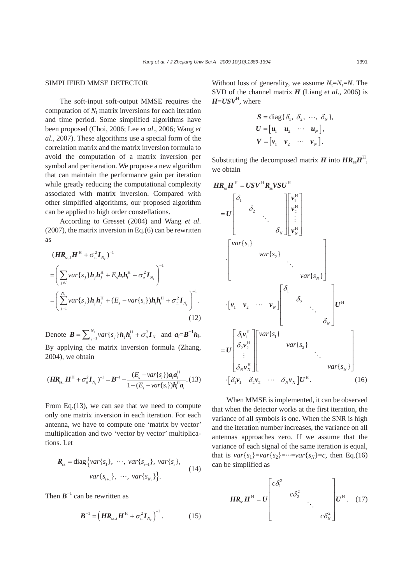#### SIMPLIFIED MMSE DETECTOR

The soft-input soft-output MMSE requires the computation of  $N_t$  matrix inversions for each iteration and time period. Some simplified algorithms have been proposed (Choi, 2006; Lee *et al*., 2006; Wang *et al*., 2007). These algorithms use a special form of the correlation matrix and the matrix inversion formula to avoid the computation of a matrix inversion per symbol and per iteration. We propose a new algorithm that can maintain the performance gain per iteration while greatly reducing the computational complexity associated with matrix inversion. Compared with other simplified algorithms, our proposed algorithm can be applied to high order constellations.

According to Gresset (2004) and Wang *et al*. (2007), the matrix inversion in Eq.(6) can be rewritten as

$$
(\boldsymbol{H}\boldsymbol{R}_{ss,i}\boldsymbol{H}^{H} + \sigma_{n}^{2}\boldsymbol{I}_{N_{r}})^{-1}
$$
\n
$$
= \left(\sum_{j\neq i} var\{s_{j}\}\boldsymbol{h}_{j}\boldsymbol{h}_{j}^{H} + E_{s}\boldsymbol{h}_{i}\boldsymbol{h}_{i}^{H} + \sigma_{n}^{2}\boldsymbol{I}_{N_{r}}\right)^{-1}
$$
\n
$$
= \left(\sum_{j=1}^{N_{t}} var\{s_{j}\}\boldsymbol{h}_{j}\boldsymbol{h}_{j}^{H} + (E_{s} - var\{s_{i}\})\boldsymbol{h}_{i}\boldsymbol{h}_{i}^{H} + \sigma_{n}^{2}\boldsymbol{I}_{N_{r}}\right)^{-1}.
$$
\n(12)

Denote  $\boldsymbol{B} = \sum_{j=1}^{N_t} var\{s_j\} \boldsymbol{h}_j \boldsymbol{h}_j^{\mathrm{H}} + \sigma_n^2 \boldsymbol{I}_{N_t}$  $\boldsymbol{B} = \sum_{j=1}^{N_i} var\{s_j\} \boldsymbol{h}_j \boldsymbol{h}_j^{\mathrm{H}} + \sigma_n^2 \boldsymbol{I}_{N_r}$  and  $\boldsymbol{a}_i = \boldsymbol{B}^{-1} \boldsymbol{h}_i$ . By applying the matrix inversion formula (Zhang, 2004), we obtain

$$
(\mathbf{H}\mathbf{R}_{ss,i}\mathbf{H}^{H} + \sigma_{n}^{2}\mathbf{I}_{N_{r}})^{-1} = \mathbf{B}^{-1} - \frac{(E_{s} - var\{s_{i}\})\mathbf{a}_{i}\mathbf{a}_{i}^{H}}{1 + (E_{s} - var\{s_{i}\})\mathbf{h}_{i}^{H}\mathbf{a}_{i}}.(13)
$$

From Eq.(13), we can see that we need to compute only one matrix inversion in each iteration. For each antenna, we have to compute one 'matrix by vector' multiplication and two 'vector by vector' multiplications. Let

$$
\mathbf{R}_{ss} = \text{diag}\left\{ var\{s_1\}, \ \cdots, \ var\{s_{i-1}\}, \ var\{s_i\}, \right. \\
\quad \text{var}\left\{s_{i+1}\}, \ \cdots, \ var\{s_{N_t}\}\right\}.
$$
\n(14)

Then  $B^{-1}$  can be rewritten as

$$
\boldsymbol{B}^{-1} = \left(\boldsymbol{H}\boldsymbol{R}_{ss,i}\boldsymbol{H}^{H} + \sigma_{n}^{2}\boldsymbol{I}_{N_{r}}\right)^{-1}.
$$
 (15)

Without loss of generality, we assume  $N_t = N_t = N$ . The SVD of the channel matrix *H* (Liang *et al*., 2006) is  $H = USV<sup>H</sup>$ , where

$$
S = \text{diag}\{\delta_1, \ \delta_2, \ \cdots, \ \delta_N\},
$$
  
\n
$$
U = [u_1 \quad u_2 \quad \cdots \quad u_N],
$$
  
\n
$$
V = [v_1 \quad v_2 \quad \cdots \quad v_N].
$$

Substituting the decomposed matrix *H* into  $HR_{\text{s}}H^{\text{H}}$ , we obtain

$$
HR_{ss}H^{H} = USV^{H}R_{ss}VSU^{H}
$$
\n
$$
= U \begin{bmatrix} \delta_{1} & & & \\ & \delta_{2} & & \\ & & \ddots & \\ & & & \delta_{N} \end{bmatrix} \begin{bmatrix} v_{1}^{H} \\ v_{2}^{H} \\ \vdots \\ v_{N}^{H} \end{bmatrix}
$$
\n
$$
\cdot \begin{bmatrix} var\{s_{1}\} & & & \\ & var\{s_{2}\} & & \\ & & \ddots & \\ & & & var\{s_{N}\} \end{bmatrix}
$$
\n
$$
\cdot [v_{1} \quad v_{2} \quad \cdots \quad v_{N}] \begin{bmatrix} \delta_{1} & & & \\ & \delta_{2} & & \\ & & \ddots & \\ & & & \delta_{N} \end{bmatrix} U^{H}
$$
\n
$$
= U \begin{bmatrix} \delta_{1}v_{1}^{H} \\ \delta_{2}v_{2}^{H} \\ \vdots \\ \delta_{N}v_{N}^{H} \end{bmatrix} \begin{bmatrix} var\{s_{1}\} \\ var\{s_{2}\} \\ \vdots \\ var\{s_{N}\} \end{bmatrix} \qquad var\{s_{N}\}
$$
\n
$$
\cdot [\delta_{1}v_{1} \quad \delta_{2}v_{2} \quad \cdots \quad \delta_{N}v_{N}]U^{H}.
$$
\n(16)

When MMSE is implemented, it can be observed that when the detector works at the first iteration, the variance of all symbols is one. When the SNR is high and the iteration number increases, the variance on all antennas approaches zero. If we assume that the variance of each signal of the same iteration is equal, that is  $var{s_1}$ =*var*{ $s_2$ }=…=*var*{ $s_N$ }=*c*, then Eq.(16) can be simplified as

$$
HR_{ss}H^{H} = U \begin{bmatrix} c\delta_{1}^{2} & & & \\ & c\delta_{2}^{2} & & \\ & & \ddots & \\ & & & c\delta_{N}^{2} \end{bmatrix} U^{H}. \quad (17)
$$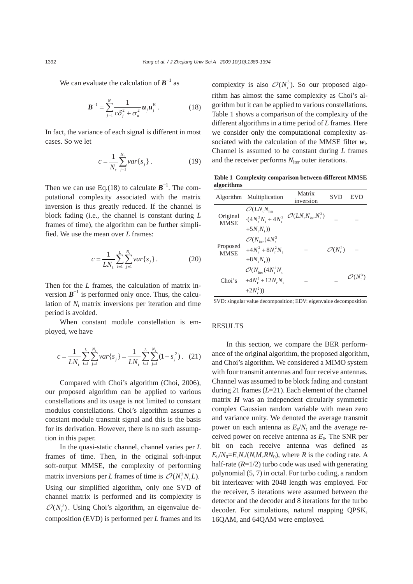We can evaluate the calculation of  $\mathbf{B}^{-1}$  as

$$
\boldsymbol{B}^{-1} = \sum_{j=1}^{N} \frac{1}{c \delta_j^2 + \sigma_n^2} \boldsymbol{u}_j \boldsymbol{u}_j^{\mathrm{H}} \,. \tag{18}
$$

In fact, the variance of each signal is different in most cases. So we let

$$
c = \frac{1}{N_{\rm t}} \sum_{j=1}^{N_{\rm t}} var\{s_j\} \,. \tag{19}
$$

Then we can use Eq.(18) to calculate  $\mathbf{B}^{-1}$ . The computational complexity associated with the matrix inversion is thus greatly reduced. If the channel is block fading (i.e., the channel is constant during *L* frames of time), the algorithm can be further simplified. We use the mean over *L* frames:

$$
c = \frac{1}{LN_{\rm t}} \sum_{i=1}^{L} \sum_{j=1}^{N_{\rm t}} var\{s_j\} \,. \tag{20}
$$

Then for the *L* frames, the calculation of matrix inversion  $\mathbf{B}^{-1}$  is performed only once. Thus, the calculation of  $N_t$  matrix inversions per iteration and time period is avoided.

When constant module constellation is employed, we have

$$
c = \frac{1}{LN_{\rm t}} \sum_{i=1}^{L} \sum_{j=1}^{N_{\rm t}} var\{s_j\} = \frac{1}{LN_{\rm t}} \sum_{i=1}^{L} \sum_{j=1}^{N_{\rm t}} (1 - \overline{s}_j^2). \quad (21)
$$

Compared with Choi's algorithm (Choi, 2006), our proposed algorithm can be applied to various constellations and its usage is not limited to constant modulus constellations. Choi's algorithm assumes a constant module transmit signal and this is the basis for its derivation. However, there is no such assumption in this paper.

In the quasi-static channel, channel varies per *L* frames of time. Then, in the original soft-input soft-output MMSE, the complexity of performing matrix inversions per *L* frames of time is  $\mathcal{O}(N_r^3 N_t L)$ . Using our simplified algorithm, only one SVD of channel matrix is performed and its complexity is  $\mathcal{O}(N_r^3)$ . Using Choi's algorithm, an eigenvalue decomposition (EVD) is performed per *L* frames and its

complexity is also  $\mathcal{O}(N_r^3)$ . So our proposed algorithm has almost the same complexity as Choi's algorithm but it can be applied to various constellations. Table 1 shows a comparison of the complexity of the different algorithms in a time period of *L* frames. Here we consider only the computational complexity associated with the calculation of the MMSE filter *wi*. Channel is assumed to be constant during *L* frames and the receiver performs  $N<sub>iter</sub>$  outer iterations.

**Table 1 Complexity comparison between different MMSE algorithms**

|                         | Algorithm Multiplication                                                       | Matrix<br>inversion                          | SVD                  | EVD                  |
|-------------------------|--------------------------------------------------------------------------------|----------------------------------------------|----------------------|----------------------|
| Original<br><b>MMSE</b> | $\mathcal{O}(LN_{,N_{\text{iter}}})$<br>$-(4N_r^2N_t + 4N_r^2)$                | $\mathcal{O}(LN_{,N_{\text{iter}}}N_{,r}^3)$ |                      |                      |
|                         | $+5N_{r}N_{r}$ )                                                               |                                              |                      |                      |
| Proposed<br><b>MMSE</b> | $\mathcal{O}(N_{\text{iter}}(4N_{\text{r}}^3))$                                |                                              | $\mathcal{O}(N_r^3)$ |                      |
|                         | $+4N_r^2+8N_r^2N_r$                                                            |                                              |                      |                      |
| Choi's                  | $+8N_{,N_{r}})$<br>$\mathcal{O}(N_{\text{iter}}(4N_{\text{r}}^2N_{\text{r}}))$ |                                              |                      |                      |
|                         | $+4N_r^3+12N_rN_r$                                                             |                                              |                      | $\mathcal{O}(N_r^3)$ |
|                         | $+2N_r^2$ )                                                                    |                                              |                      |                      |

SVD: singular value decomposition; EDV: eigenvalue decomposition

#### RESULTS

In this section, we compare the BER performance of the original algorithm, the proposed algorithm, and Choi's algorithm. We considered a MIMO system with four transmit antennas and four receive antennas. Channel was assumed to be block fading and constant during 21 frames (*L*=21). Each element of the channel matrix  $H$  was an independent circularly symmetric complex Gaussian random variable with mean zero and variance unity. We denoted the average transmit power on each antenna as  $E_s/N_t$  and the average received power on receive antenna as *E*s. The SNR per bit on each receive antenna was defined as  $E_b/N_0=E_sN_r/(N_1M_cRN_0)$ , where *R* is the coding rate. A half-rate  $(R=1/2)$  turbo code was used with generating polynomial (5, 7) in octal. For turbo coding, a random bit interleaver with 2048 length was employed. For the receiver, 5 iterations were assumed between the detector and the decoder and 8 iterations for the turbo decoder. For simulations, natural mapping QPSK, 16QAM, and 64QAM were employed.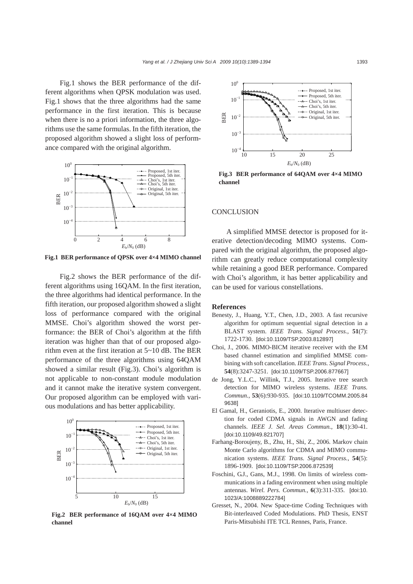Fig.1 shows the BER performance of the different algorithms when QPSK modulation was used. Fig.1 shows that the three algorithms had the same performance in the first iteration. This is because when there is no a priori information, the three algorithms use the same formulas. In the fifth iteration, the proposed algorithm showed a slight loss of performance compared with the original algorithm.



**Fig.1 BER performance of QPSK over 4×4 MIMO channel**

Fig.2 shows the BER performance of the different algorithms using 16QAM. In the first iteration, the three algorithms had identical performance. In the fifth iteration, our proposed algorithm showed a slight loss of performance compared with the original MMSE. Choi's algorithm showed the worst performance: the BER of Choi's algorithm at the fifth iteration was higher than that of our proposed algorithm even at the first iteration at 5~10 dB. The BER performance of the three algorithms using 64QAM showed a similar result (Fig.3). Choi's algorithm is not applicable to non-constant module modulation and it cannot make the iterative system convergent. Our proposed algorithm can be employed with various modulations and has better applicability.



**Fig.2 BER performance of 16QAM over 4×4 MIMO channel**



**Fig.3 BER performance of 64QAM over 4×4 MIMO channel** 

#### **CONCLUSION**

A simplified MMSE detector is proposed for iterative detection/decoding MIMO systems. Compared with the original algorithm, the proposed algorithm can greatly reduce computational complexity while retaining a good BER performance. Compared with Choi's algorithm, it has better applicability and can be used for various constellations.

### **References**

- Benesty, J., Huang, Y.T., Chen, J.D., 2003. A fast recursive algorithm for optimum sequential signal detection in a BLAST system. *IEEE Trans. Signal Process.*, **51**(7): 1722-1730. [doi:10.1109/TSP.2003.812897]
- Choi, J., 2006. MIMO-BICM iterative receiver with the EM based channel estimation and simplified MMSE combining with soft cancellation. *IEEE Trans. Signal Process.*, **54**(8):3247-3251. [doi:10.1109/TSP.2006.877667]
- de Jong, Y.L.C., Willink, T.J., 2005. Iterative tree search detection for MIMO wireless systems. *IEEE Trans. Commun.*, **53**(6):930-935. [doi:10.1109/TCOMM.2005.84 9638]
- El Gamal, H., Geraniotis, E., 2000. Iterative multiuser detection for coded CDMA signals in AWGN and fading channels. *IEEE J. Sel. Areas Commun.*, **18**(1):30-41. [doi:10.1109/49.821707]
- Farhang-Boroujeny, B., Zhu, H., Shi, Z., 2006. Markov chain Monte Carlo algorithms for CDMA and MIMO communication systems. *IEEE Trans. Signal Process.*, **54**(5): 1896-1909. [doi:10.1109/TSP.2006.872539]
- Foschini, G.J., Gans, M.J., 1998. On limits of wireless communications in a fading environment when using multiple antennas. *Wirel. Pers. Commun.*, **6**(3):311-335. [doi:10. 1023/A:1008889222784]
- Gresset, N., 2004. New Space-time Coding Techniques with Bit-interleaved Coded Modulations. PhD Thesis, ENST Paris-Mitsubishi ITE TCL Rennes, Paris, France.